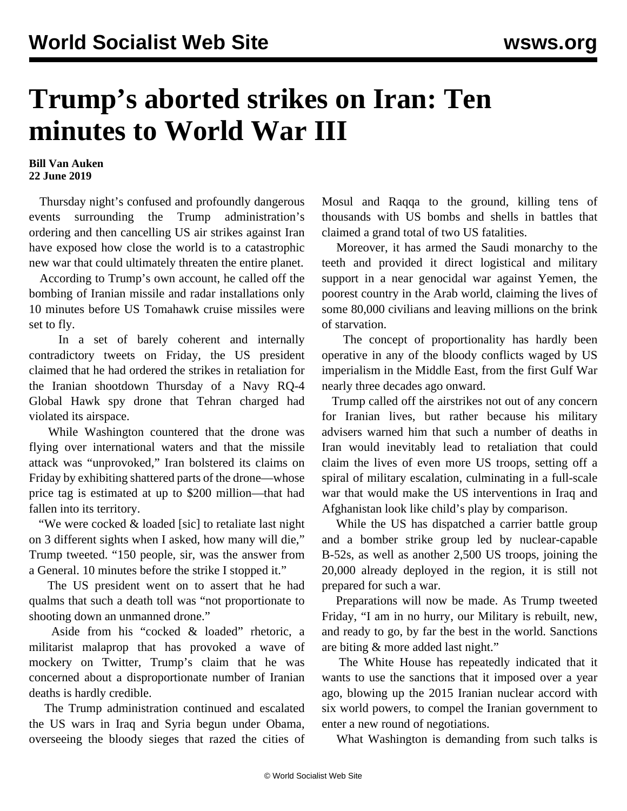## **Trump's aborted strikes on Iran: Ten minutes to World War III**

## **Bill Van Auken 22 June 2019**

 Thursday night's confused and profoundly dangerous events surrounding the Trump administration's ordering and then cancelling US air strikes against Iran have exposed how close the world is to a catastrophic new war that could ultimately threaten the entire planet.

 According to Trump's own account, he called off the bombing of Iranian missile and radar installations only 10 minutes before US Tomahawk cruise missiles were set to fly.

 In a set of barely coherent and internally contradictory tweets on Friday, the US president claimed that he had ordered the strikes in retaliation for the Iranian shootdown Thursday of a Navy RQ-4 Global Hawk spy drone that Tehran charged had violated its airspace.

 While Washington countered that the drone was flying over international waters and that the missile attack was "unprovoked," Iran bolstered its claims on Friday by exhibiting shattered parts of the drone—whose price tag is estimated at up to \$200 million—that had fallen into its territory.

 "We were cocked & loaded [sic] to retaliate last night on 3 different sights when I asked, how many will die," Trump tweeted. "150 people, sir, was the answer from a General. 10 minutes before the strike I stopped it."

 The US president went on to assert that he had qualms that such a death toll was "not proportionate to shooting down an unmanned drone."

 Aside from his "cocked & loaded" rhetoric, a militarist malaprop that has provoked a wave of mockery on Twitter, Trump's claim that he was concerned about a disproportionate number of Iranian deaths is hardly credible.

 The Trump administration continued and escalated the US wars in Iraq and Syria begun under Obama, overseeing the bloody sieges that razed the cities of Mosul and Raqqa to the ground, killing tens of thousands with US bombs and shells in battles that claimed a grand total of two US fatalities.

 Moreover, it has armed the Saudi monarchy to the teeth and provided it direct logistical and military support in a near genocidal war against Yemen, the poorest country in the Arab world, claiming the lives of some 80,000 civilians and leaving millions on the brink of starvation.

 The concept of proportionality has hardly been operative in any of the bloody conflicts waged by US imperialism in the Middle East, from the first Gulf War nearly three decades ago onward.

 Trump called off the airstrikes not out of any concern for Iranian lives, but rather because his military advisers warned him that such a number of deaths in Iran would inevitably lead to retaliation that could claim the lives of even more US troops, setting off a spiral of military escalation, culminating in a full-scale war that would make the US interventions in Iraq and Afghanistan look like child's play by comparison.

 While the US has dispatched a carrier battle group and a bomber strike group led by nuclear-capable B-52s, as well as another 2,500 US troops, joining the 20,000 already deployed in the region, it is still not prepared for such a war.

 Preparations will now be made. As Trump tweeted Friday, "I am in no hurry, our Military is rebuilt, new, and ready to go, by far the best in the world. Sanctions are biting & more added last night."

 The White House has repeatedly indicated that it wants to use the sanctions that it imposed over a year ago, blowing up the 2015 Iranian nuclear accord with six world powers, to compel the Iranian government to enter a new round of negotiations.

What Washington is demanding from such talks is